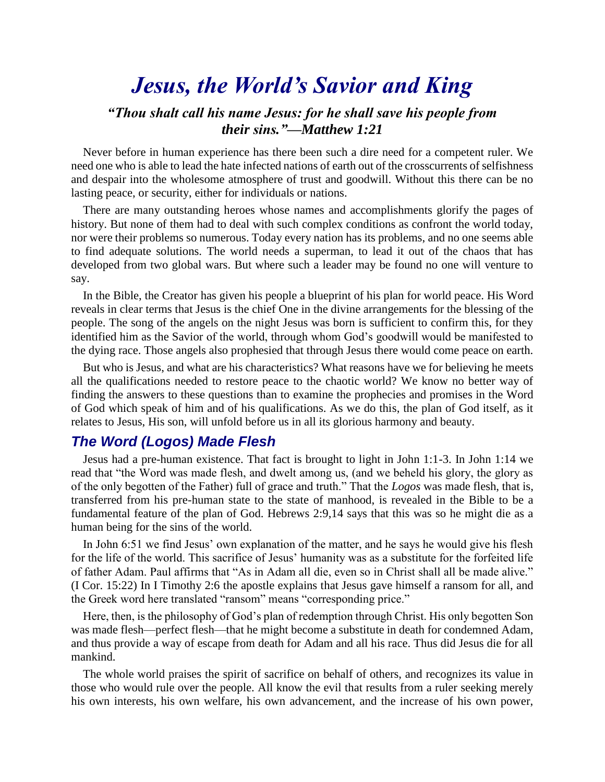# *Jesus, the World's Savior and King*

# *"Thou shalt call his name Jesus: for he shall save his people from their sins."—Matthew 1:21*

Never before in human experience has there been such a dire need for a competent ruler. We need one who is able to lead the hate infected nations of earth out of the crosscurrents of selfishness and despair into the wholesome atmosphere of trust and goodwill. Without this there can be no lasting peace, or security, either for individuals or nations.

There are many outstanding heroes whose names and accomplishments glorify the pages of history. But none of them had to deal with such complex conditions as confront the world today, nor were their problems so numerous. Today every nation has its problems, and no one seems able to find adequate solutions. The world needs a superman, to lead it out of the chaos that has developed from two global wars. But where such a leader may be found no one will venture to say.

In the Bible, the Creator has given his people a blueprint of his plan for world peace. His Word reveals in clear terms that Jesus is the chief One in the divine arrangements for the blessing of the people. The song of the angels on the night Jesus was born is sufficient to confirm this, for they identified him as the Savior of the world, through whom God's goodwill would be manifested to the dying race. Those angels also prophesied that through Jesus there would come peace on earth.

But who is Jesus, and what are his characteristics? What reasons have we for believing he meets all the qualifications needed to restore peace to the chaotic world? We know no better way of finding the answers to these questions than to examine the prophecies and promises in the Word of God which speak of him and of his qualifications. As we do this, the plan of God itself, as it relates to Jesus, His son, will unfold before us in all its glorious harmony and beauty.

## *The Word (Logos) Made Flesh*

Jesus had a pre-human existence. That fact is brought to light in John 1:1-3. In John 1:14 we read that "the Word was made flesh, and dwelt among us, (and we beheld his glory, the glory as of the only begotten of the Father) full of grace and truth." That the *Logos* was made flesh, that is, transferred from his pre-human state to the state of manhood, is revealed in the Bible to be a fundamental feature of the plan of God. Hebrews 2:9,14 says that this was so he might die as a human being for the sins of the world.

In John 6:51 we find Jesus' own explanation of the matter, and he says he would give his flesh for the life of the world. This sacrifice of Jesus' humanity was as a substitute for the forfeited life of father Adam. Paul affirms that "As in Adam all die, even so in Christ shall all be made alive." (I Cor. 15:22) In I Timothy 2:6 the apostle explains that Jesus gave himself a ransom for all, and the Greek word here translated "ransom" means "corresponding price."

Here, then, is the philosophy of God's plan of redemption through Christ. His only begotten Son was made flesh—perfect flesh—that he might become a substitute in death for condemned Adam, and thus provide a way of escape from death for Adam and all his race. Thus did Jesus die for all mankind.

The whole world praises the spirit of sacrifice on behalf of others, and recognizes its value in those who would rule over the people. All know the evil that results from a ruler seeking merely his own interests, his own welfare, his own advancement, and the increase of his own power,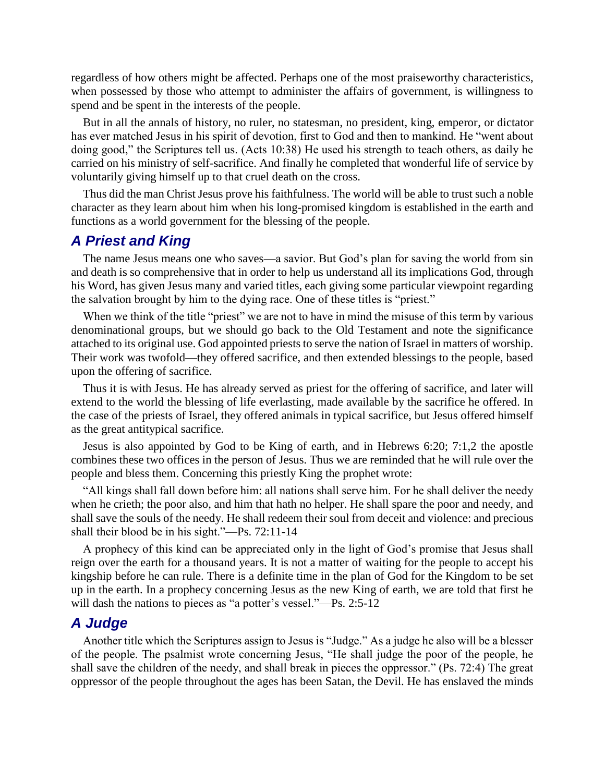regardless of how others might be affected. Perhaps one of the most praiseworthy characteristics, when possessed by those who attempt to administer the affairs of government, is willingness to spend and be spent in the interests of the people.

But in all the annals of history, no ruler, no statesman, no president, king, emperor, or dictator has ever matched Jesus in his spirit of devotion, first to God and then to mankind. He "went about doing good," the Scriptures tell us. (Acts 10:38) He used his strength to teach others, as daily he carried on his ministry of self-sacrifice. And finally he completed that wonderful life of service by voluntarily giving himself up to that cruel death on the cross.

Thus did the man Christ Jesus prove his faithfulness. The world will be able to trust such a noble character as they learn about him when his long-promised kingdom is established in the earth and functions as a world government for the blessing of the people.

## *A Priest and King*

The name Jesus means one who saves—a savior. But God's plan for saving the world from sin and death is so comprehensive that in order to help us understand all its implications God, through his Word, has given Jesus many and varied titles, each giving some particular viewpoint regarding the salvation brought by him to the dying race. One of these titles is "priest."

When we think of the title "priest" we are not to have in mind the misuse of this term by various denominational groups, but we should go back to the Old Testament and note the significance attached to its original use. God appointed priests to serve the nation of Israel in matters of worship. Their work was twofold—they offered sacrifice, and then extended blessings to the people, based upon the offering of sacrifice.

Thus it is with Jesus. He has already served as priest for the offering of sacrifice, and later will extend to the world the blessing of life everlasting, made available by the sacrifice he offered. In the case of the priests of Israel, they offered animals in typical sacrifice, but Jesus offered himself as the great antitypical sacrifice.

Jesus is also appointed by God to be King of earth, and in Hebrews 6:20; 7:1,2 the apostle combines these two offices in the person of Jesus. Thus we are reminded that he will rule over the people and bless them. Concerning this priestly King the prophet wrote:

"All kings shall fall down before him: all nations shall serve him. For he shall deliver the needy when he crieth; the poor also, and him that hath no helper. He shall spare the poor and needy, and shall save the souls of the needy. He shall redeem their soul from deceit and violence: and precious shall their blood be in his sight."—Ps. 72:11-14

A prophecy of this kind can be appreciated only in the light of God's promise that Jesus shall reign over the earth for a thousand years. It is not a matter of waiting for the people to accept his kingship before he can rule. There is a definite time in the plan of God for the Kingdom to be set up in the earth. In a prophecy concerning Jesus as the new King of earth, we are told that first he will dash the nations to pieces as "a potter's vessel."—Ps. 2:5-12

#### *A Judge*

Another title which the Scriptures assign to Jesus is "Judge." As a judge he also will be a blesser of the people. The psalmist wrote concerning Jesus, "He shall judge the poor of the people, he shall save the children of the needy, and shall break in pieces the oppressor." (Ps. 72:4) The great oppressor of the people throughout the ages has been Satan, the Devil. He has enslaved the minds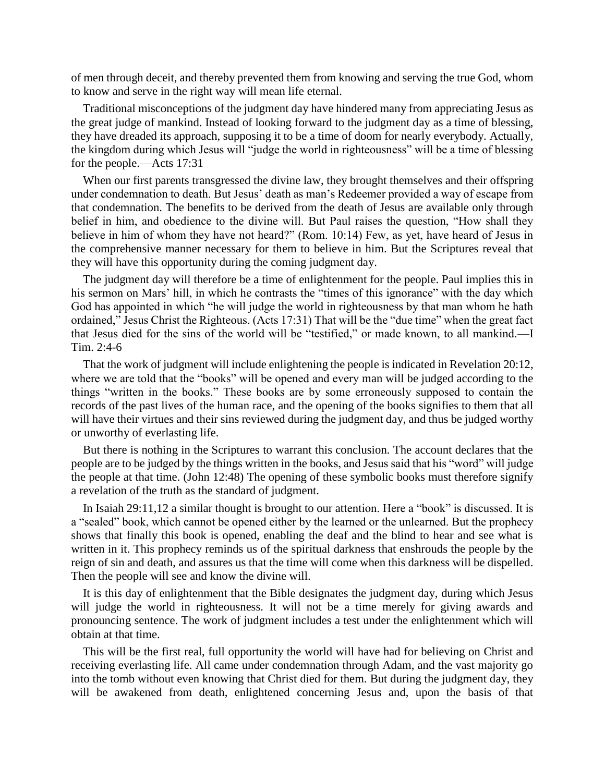of men through deceit, and thereby prevented them from knowing and serving the true God, whom to know and serve in the right way will mean life eternal.

Traditional misconceptions of the judgment day have hindered many from appreciating Jesus as the great judge of mankind. Instead of looking forward to the judgment day as a time of blessing, they have dreaded its approach, supposing it to be a time of doom for nearly everybody. Actually, the kingdom during which Jesus will "judge the world in righteousness" will be a time of blessing for the people.—Acts 17:31

When our first parents transgressed the divine law, they brought themselves and their offspring under condemnation to death. But Jesus' death as man's Redeemer provided a way of escape from that condemnation. The benefits to be derived from the death of Jesus are available only through belief in him, and obedience to the divine will. But Paul raises the question, "How shall they believe in him of whom they have not heard?" (Rom. 10:14) Few, as yet, have heard of Jesus in the comprehensive manner necessary for them to believe in him. But the Scriptures reveal that they will have this opportunity during the coming judgment day.

The judgment day will therefore be a time of enlightenment for the people. Paul implies this in his sermon on Mars' hill, in which he contrasts the "times of this ignorance" with the day which God has appointed in which "he will judge the world in righteousness by that man whom he hath ordained," Jesus Christ the Righteous. (Acts 17:31) That will be the "due time" when the great fact that Jesus died for the sins of the world will be "testified," or made known, to all mankind.—I Tim. 2:4-6

That the work of judgment will include enlightening the people is indicated in Revelation 20:12, where we are told that the "books" will be opened and every man will be judged according to the things "written in the books." These books are by some erroneously supposed to contain the records of the past lives of the human race, and the opening of the books signifies to them that all will have their virtues and their sins reviewed during the judgment day, and thus be judged worthy or unworthy of everlasting life.

But there is nothing in the Scriptures to warrant this conclusion. The account declares that the people are to be judged by the things written in the books, and Jesus said that his "word" will judge the people at that time. (John 12:48) The opening of these symbolic books must therefore signify a revelation of the truth as the standard of judgment.

In Isaiah 29:11,12 a similar thought is brought to our attention. Here a "book" is discussed. It is a "sealed" book, which cannot be opened either by the learned or the unlearned. But the prophecy shows that finally this book is opened, enabling the deaf and the blind to hear and see what is written in it. This prophecy reminds us of the spiritual darkness that enshrouds the people by the reign of sin and death, and assures us that the time will come when this darkness will be dispelled. Then the people will see and know the divine will.

It is this day of enlightenment that the Bible designates the judgment day, during which Jesus will judge the world in righteousness. It will not be a time merely for giving awards and pronouncing sentence. The work of judgment includes a test under the enlightenment which will obtain at that time.

This will be the first real, full opportunity the world will have had for believing on Christ and receiving everlasting life. All came under condemnation through Adam, and the vast majority go into the tomb without even knowing that Christ died for them. But during the judgment day, they will be awakened from death, enlightened concerning Jesus and, upon the basis of that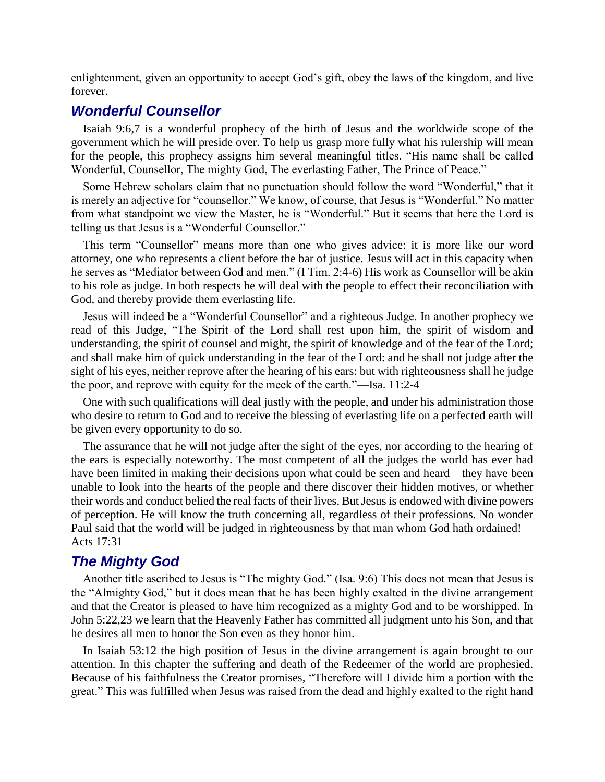enlightenment, given an opportunity to accept God's gift, obey the laws of the kingdom, and live forever.

# *Wonderful Counsellor*

Isaiah 9:6,7 is a wonderful prophecy of the birth of Jesus and the worldwide scope of the government which he will preside over. To help us grasp more fully what his rulership will mean for the people, this prophecy assigns him several meaningful titles. "His name shall be called Wonderful, Counsellor, The mighty God, The everlasting Father, The Prince of Peace."

Some Hebrew scholars claim that no punctuation should follow the word "Wonderful," that it is merely an adjective for "counsellor." We know, of course, that Jesus is "Wonderful." No matter from what standpoint we view the Master, he is "Wonderful." But it seems that here the Lord is telling us that Jesus is a "Wonderful Counsellor."

This term "Counsellor" means more than one who gives advice: it is more like our word attorney, one who represents a client before the bar of justice. Jesus will act in this capacity when he serves as "Mediator between God and men." (I Tim. 2:4-6) His work as Counsellor will be akin to his role as judge. In both respects he will deal with the people to effect their reconciliation with God, and thereby provide them everlasting life.

Jesus will indeed be a "Wonderful Counsellor" and a righteous Judge. In another prophecy we read of this Judge, "The Spirit of the Lord shall rest upon him, the spirit of wisdom and understanding, the spirit of counsel and might, the spirit of knowledge and of the fear of the Lord; and shall make him of quick understanding in the fear of the Lord: and he shall not judge after the sight of his eyes, neither reprove after the hearing of his ears: but with righteousness shall he judge the poor, and reprove with equity for the meek of the earth."—Isa. 11:2-4

One with such qualifications will deal justly with the people, and under his administration those who desire to return to God and to receive the blessing of everlasting life on a perfected earth will be given every opportunity to do so.

The assurance that he will not judge after the sight of the eyes, nor according to the hearing of the ears is especially noteworthy. The most competent of all the judges the world has ever had have been limited in making their decisions upon what could be seen and heard—they have been unable to look into the hearts of the people and there discover their hidden motives, or whether their words and conduct belied the real facts of their lives. But Jesus is endowed with divine powers of perception. He will know the truth concerning all, regardless of their professions. No wonder Paul said that the world will be judged in righteousness by that man whom God hath ordained!— Acts 17:31

# *The Mighty God*

Another title ascribed to Jesus is "The mighty God." (Isa. 9:6) This does not mean that Jesus is the "Almighty God," but it does mean that he has been highly exalted in the divine arrangement and that the Creator is pleased to have him recognized as a mighty God and to be worshipped. In John 5:22,23 we learn that the Heavenly Father has committed all judgment unto his Son, and that he desires all men to honor the Son even as they honor him.

In Isaiah 53:12 the high position of Jesus in the divine arrangement is again brought to our attention. In this chapter the suffering and death of the Redeemer of the world are prophesied. Because of his faithfulness the Creator promises, "Therefore will I divide him a portion with the great." This was fulfilled when Jesus was raised from the dead and highly exalted to the right hand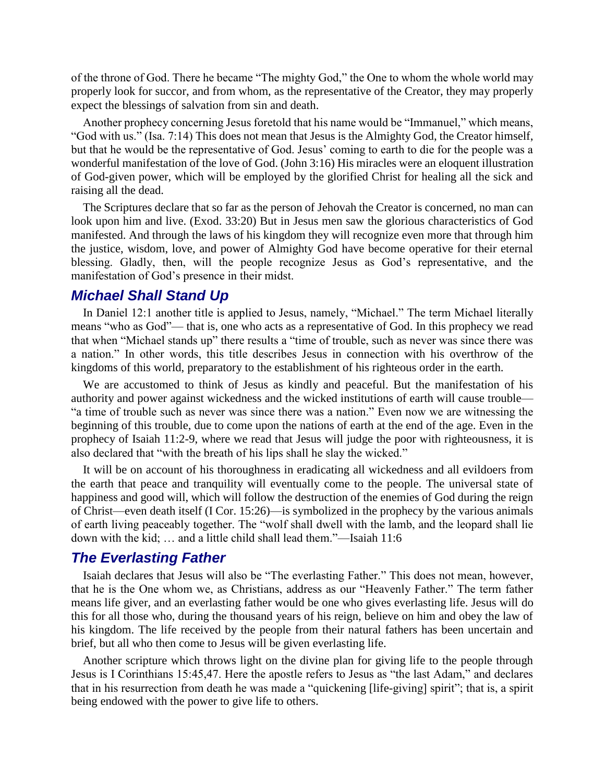of the throne of God. There he became "The mighty God," the One to whom the whole world may properly look for succor, and from whom, as the representative of the Creator, they may properly expect the blessings of salvation from sin and death.

Another prophecy concerning Jesus foretold that his name would be "Immanuel," which means, "God with us." (Isa. 7:14) This does not mean that Jesus is the Almighty God, the Creator himself, but that he would be the representative of God. Jesus' coming to earth to die for the people was a wonderful manifestation of the love of God. (John 3:16) His miracles were an eloquent illustration of God-given power, which will be employed by the glorified Christ for healing all the sick and raising all the dead.

The Scriptures declare that so far as the person of Jehovah the Creator is concerned, no man can look upon him and live. (Exod. 33:20) But in Jesus men saw the glorious characteristics of God manifested. And through the laws of his kingdom they will recognize even more that through him the justice, wisdom, love, and power of Almighty God have become operative for their eternal blessing. Gladly, then, will the people recognize Jesus as God's representative, and the manifestation of God's presence in their midst.

### *Michael Shall Stand Up*

In Daniel 12:1 another title is applied to Jesus, namely, "Michael." The term Michael literally means "who as God"— that is, one who acts as a representative of God. In this prophecy we read that when "Michael stands up" there results a "time of trouble, such as never was since there was a nation." In other words, this title describes Jesus in connection with his overthrow of the kingdoms of this world, preparatory to the establishment of his righteous order in the earth.

We are accustomed to think of Jesus as kindly and peaceful. But the manifestation of his authority and power against wickedness and the wicked institutions of earth will cause trouble— "a time of trouble such as never was since there was a nation." Even now we are witnessing the beginning of this trouble, due to come upon the nations of earth at the end of the age. Even in the prophecy of Isaiah 11:2-9, where we read that Jesus will judge the poor with righteousness, it is also declared that "with the breath of his lips shall he slay the wicked."

It will be on account of his thoroughness in eradicating all wickedness and all evildoers from the earth that peace and tranquility will eventually come to the people. The universal state of happiness and good will, which will follow the destruction of the enemies of God during the reign of Christ—even death itself (I Cor. 15:26)—is symbolized in the prophecy by the various animals of earth living peaceably together. The "wolf shall dwell with the lamb, and the leopard shall lie down with the kid; … and a little child shall lead them."—Isaiah 11:6

#### *The Everlasting Father*

Isaiah declares that Jesus will also be "The everlasting Father." This does not mean, however, that he is the One whom we, as Christians, address as our "Heavenly Father." The term father means life giver, and an everlasting father would be one who gives everlasting life. Jesus will do this for all those who, during the thousand years of his reign, believe on him and obey the law of his kingdom. The life received by the people from their natural fathers has been uncertain and brief, but all who then come to Jesus will be given everlasting life.

Another scripture which throws light on the divine plan for giving life to the people through Jesus is I Corinthians 15:45,47. Here the apostle refers to Jesus as "the last Adam," and declares that in his resurrection from death he was made a "quickening [life-giving] spirit"; that is, a spirit being endowed with the power to give life to others.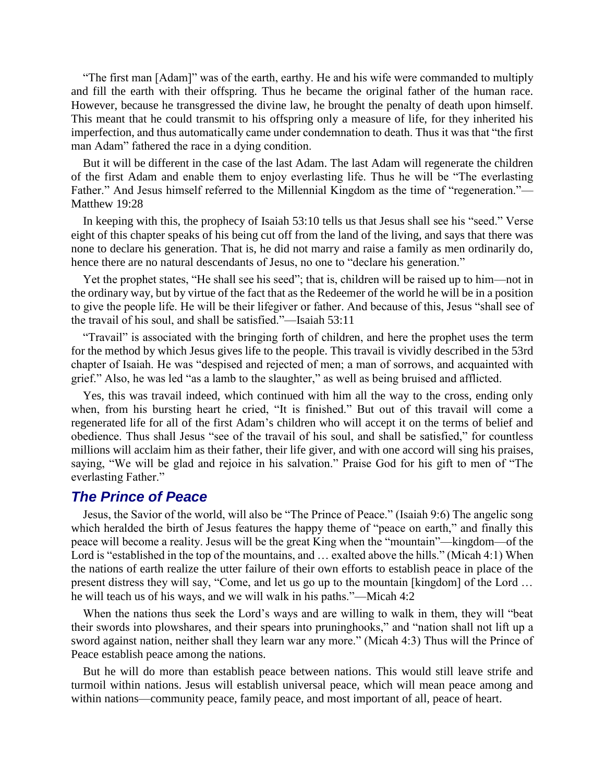"The first man [Adam]" was of the earth, earthy. He and his wife were commanded to multiply and fill the earth with their offspring. Thus he became the original father of the human race. However, because he transgressed the divine law, he brought the penalty of death upon himself. This meant that he could transmit to his offspring only a measure of life, for they inherited his imperfection, and thus automatically came under condemnation to death. Thus it was that "the first man Adam" fathered the race in a dying condition.

But it will be different in the case of the last Adam. The last Adam will regenerate the children of the first Adam and enable them to enjoy everlasting life. Thus he will be "The everlasting Father." And Jesus himself referred to the Millennial Kingdom as the time of "regeneration."— Matthew 19:28

In keeping with this, the prophecy of Isaiah 53:10 tells us that Jesus shall see his "seed." Verse eight of this chapter speaks of his being cut off from the land of the living, and says that there was none to declare his generation. That is, he did not marry and raise a family as men ordinarily do, hence there are no natural descendants of Jesus, no one to "declare his generation."

Yet the prophet states, "He shall see his seed"; that is, children will be raised up to him—not in the ordinary way, but by virtue of the fact that as the Redeemer of the world he will be in a position to give the people life. He will be their lifegiver or father. And because of this, Jesus "shall see of the travail of his soul, and shall be satisfied."—Isaiah 53:11

"Travail" is associated with the bringing forth of children, and here the prophet uses the term for the method by which Jesus gives life to the people. This travail is vividly described in the 53rd chapter of Isaiah. He was "despised and rejected of men; a man of sorrows, and acquainted with grief." Also, he was led "as a lamb to the slaughter," as well as being bruised and afflicted.

Yes, this was travail indeed, which continued with him all the way to the cross, ending only when, from his bursting heart he cried, "It is finished." But out of this travail will come a regenerated life for all of the first Adam's children who will accept it on the terms of belief and obedience. Thus shall Jesus "see of the travail of his soul, and shall be satisfied," for countless millions will acclaim him as their father, their life giver, and with one accord will sing his praises, saying, "We will be glad and rejoice in his salvation." Praise God for his gift to men of "The everlasting Father."

#### *The Prince of Peace*

Jesus, the Savior of the world, will also be "The Prince of Peace." (Isaiah 9:6) The angelic song which heralded the birth of Jesus features the happy theme of "peace on earth," and finally this peace will become a reality. Jesus will be the great King when the "mountain"—kingdom—of the Lord is "established in the top of the mountains, and … exalted above the hills." (Micah 4:1) When the nations of earth realize the utter failure of their own efforts to establish peace in place of the present distress they will say, "Come, and let us go up to the mountain [kingdom] of the Lord … he will teach us of his ways, and we will walk in his paths."—Micah 4:2

When the nations thus seek the Lord's ways and are willing to walk in them, they will "beat their swords into plowshares, and their spears into pruninghooks," and "nation shall not lift up a sword against nation, neither shall they learn war any more." (Micah 4:3) Thus will the Prince of Peace establish peace among the nations.

But he will do more than establish peace between nations. This would still leave strife and turmoil within nations. Jesus will establish universal peace, which will mean peace among and within nations—community peace, family peace, and most important of all, peace of heart.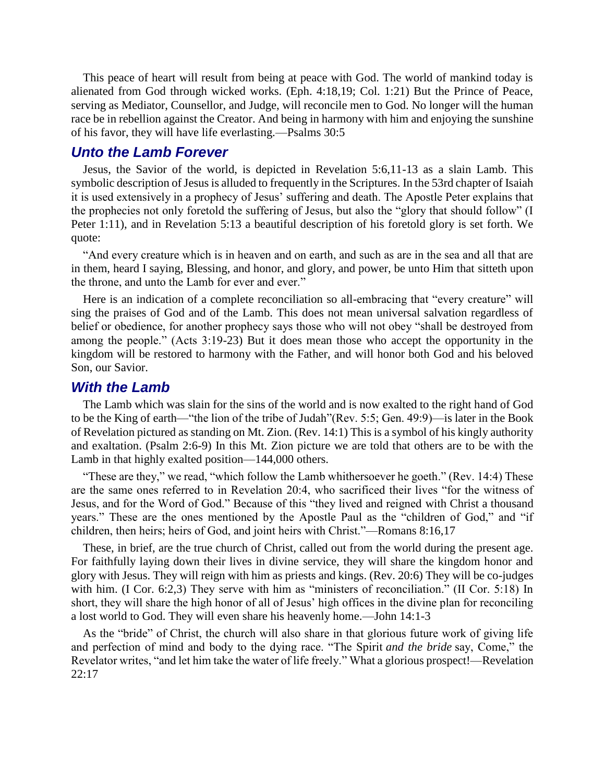This peace of heart will result from being at peace with God. The world of mankind today is alienated from God through wicked works. (Eph. 4:18,19; Col. 1:21) But the Prince of Peace, serving as Mediator, Counsellor, and Judge, will reconcile men to God. No longer will the human race be in rebellion against the Creator. And being in harmony with him and enjoying the sunshine of his favor, they will have life everlasting.—Psalms 30:5

## *Unto the Lamb Forever*

Jesus, the Savior of the world, is depicted in Revelation 5:6,11-13 as a slain Lamb. This symbolic description of Jesus is alluded to frequently in the Scriptures. In the 53rd chapter of Isaiah it is used extensively in a prophecy of Jesus' suffering and death. The Apostle Peter explains that the prophecies not only foretold the suffering of Jesus, but also the "glory that should follow" (I Peter 1:11), and in Revelation 5:13 a beautiful description of his foretold glory is set forth. We quote:

"And every creature which is in heaven and on earth, and such as are in the sea and all that are in them, heard I saying, Blessing, and honor, and glory, and power, be unto Him that sitteth upon the throne, and unto the Lamb for ever and ever."

Here is an indication of a complete reconciliation so all-embracing that "every creature" will sing the praises of God and of the Lamb. This does not mean universal salvation regardless of belief or obedience, for another prophecy says those who will not obey "shall be destroyed from among the people." (Acts 3:19-23) But it does mean those who accept the opportunity in the kingdom will be restored to harmony with the Father, and will honor both God and his beloved Son, our Savior.

#### *With the Lamb*

The Lamb which was slain for the sins of the world and is now exalted to the right hand of God to be the King of earth—"the lion of the tribe of Judah"(Rev. 5:5; Gen. 49:9)—is later in the Book of Revelation pictured as standing on Mt. Zion. (Rev. 14:1) This is a symbol of his kingly authority and exaltation. (Psalm 2:6-9) In this Mt. Zion picture we are told that others are to be with the Lamb in that highly exalted position—144,000 others.

"These are they," we read, "which follow the Lamb whithersoever he goeth." (Rev. 14:4) These are the same ones referred to in Revelation 20:4, who sacrificed their lives "for the witness of Jesus, and for the Word of God." Because of this "they lived and reigned with Christ a thousand years." These are the ones mentioned by the Apostle Paul as the "children of God," and "if children, then heirs; heirs of God, and joint heirs with Christ."—Romans 8:16,17

These, in brief, are the true church of Christ, called out from the world during the present age. For faithfully laying down their lives in divine service, they will share the kingdom honor and glory with Jesus. They will reign with him as priests and kings. (Rev. 20:6) They will be co-judges with him. (I Cor. 6:2,3) They serve with him as "ministers of reconciliation." (II Cor. 5:18) In short, they will share the high honor of all of Jesus' high offices in the divine plan for reconciling a lost world to God. They will even share his heavenly home.—John 14:1-3

As the "bride" of Christ, the church will also share in that glorious future work of giving life and perfection of mind and body to the dying race. "The Spirit *and the bride* say, Come," the Revelator writes, "and let him take the water of life freely." What a glorious prospect!—Revelation 22:17